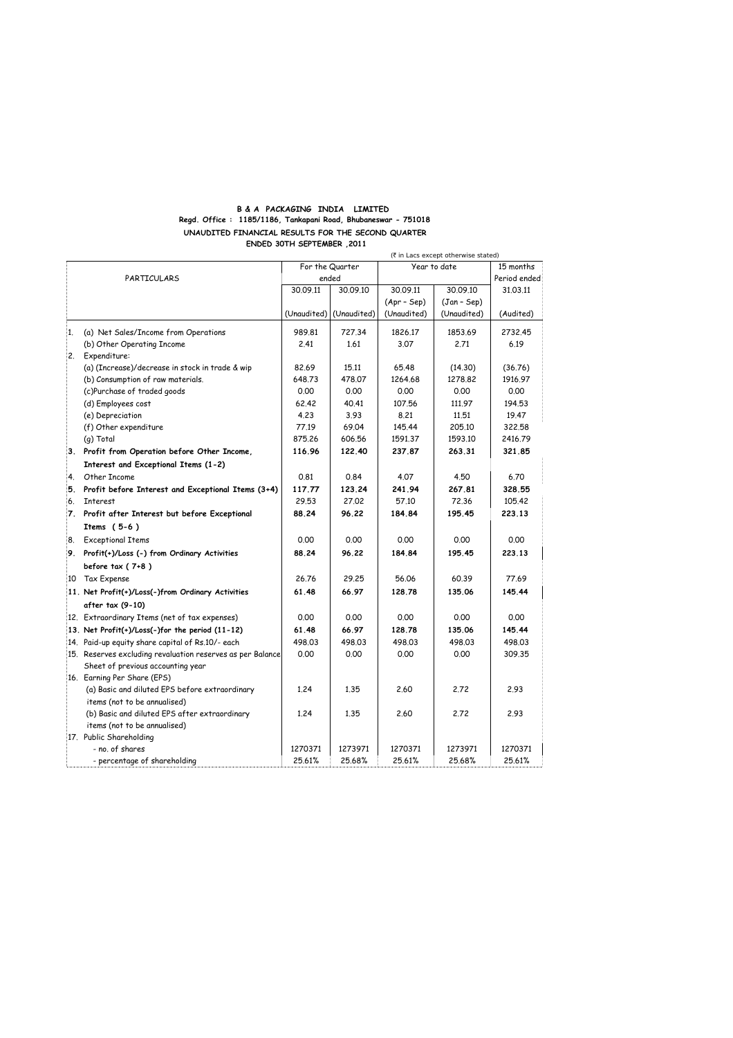## **B & A PACKAGING INDIA LIMITED Regd. Office : 1185/1186, Tankapani Road, Bhubaneswar - 751018 UNAUDITED FINANCIAL RESULTS FOR THE SECOND QUARTER ENDED 30TH SEPTEMBER ,2011**

|              |                                                            | (₹ in Lacs except otherwise stated) |                         |               |             |           |
|--------------|------------------------------------------------------------|-------------------------------------|-------------------------|---------------|-------------|-----------|
|              |                                                            | For the Quarter                     |                         | Year to date  |             | 15 months |
|              | PARTICULARS                                                |                                     | ended                   |               |             |           |
|              |                                                            | 30.09.11                            | 30.09.10                | 30.09.11      | 30.09.10    | 31.03.11  |
|              |                                                            |                                     |                         | $(Apr - Sep)$ | (Jan - Sep) |           |
|              |                                                            |                                     | (Unaudited) (Unaudited) | (Unaudited)   | (Unaudited) | (Audited) |
| $\mathbf{1}$ | (a) Net Sales/Income from Operations                       | 989.81                              | 727.34                  | 1826.17       | 1853.69     | 2732.45   |
|              | (b) Other Operating Income                                 | 2.41                                | 1.61                    | 3.07          | 2.71        | 6.19      |
|              | 2. Expenditure:                                            |                                     |                         |               |             |           |
|              | (a) (Increase)/decrease in stock in trade & wip            | 82.69                               | 15.11                   | 65.48         | (14.30)     | (36.76)   |
|              | (b) Consumption of raw materials.                          | 648.73                              | 478.07                  | 1264.68       | 1278.82     | 1916.97   |
|              | (c)Purchase of traded goods                                | 0.00                                | 0.00                    | 0.00          | 0.00        | 0.00      |
|              | (d) Employees cost                                         | 62.42                               | 40.41                   | 107.56        | 111.97      | 194.53    |
|              | (e) Depreciation                                           | 4.23                                | 3.93                    | 8.21          | 11,51       | 19.47     |
|              | (f) Other expenditure                                      | 77.19                               | 69.04                   | 145.44        | 205.10      | 322.58    |
|              | (q) Total                                                  | 875.26                              | 606.56                  | 1591.37       | 1593.10     | 2416.79   |
|              | 3. Profit from Operation before Other Income,              | 116.96                              | 122.40                  | 237.87        | 263.31      | 321.85    |
|              | Interest and Exceptional Items (1-2)                       |                                     |                         |               |             |           |
| 4.           | Other Income                                               | 0.81                                | 0.84                    | 4.07          | 4.50        | 6.70      |
|              | 5. Profit before Interest and Exceptional Items (3+4)      | 117.77                              | 123.24                  | 241.94        | 267.81      | 328.55    |
|              | 6. Interest                                                | 29.53                               | 27.02                   | 57.10         | 72.36       | 105.42    |
| 7.           | Profit after Interest but before Exceptional               | 88.24                               | 96.22                   | 184.84        | 195.45      | 223.13    |
|              | Items $(5-6)$                                              |                                     |                         |               |             |           |
| 8.           | <b>Exceptional Items</b>                                   | 0.00                                | 0.00                    | 0.00          | 0.00        | 0.00      |
|              | 9. Profit(+)/Loss (-) from Ordinary Activities             | 88.24                               | 96.22                   | 184.84        | 195.45      | 223.13    |
|              | before $tax(7+8)$                                          |                                     |                         |               |             |           |
|              | 10 Tax Expense                                             | 26.76                               | 29.25                   | 56.06         | 60.39       | 77.69     |
|              | 11. Net Profit(+)/Loss(-)from Ordinary Activities          | 61.48                               | 66.97                   | 128.78        | 135.06      | 145.44    |
|              | after tax (9-10)                                           |                                     |                         |               |             |           |
|              | 12. Extraordinary Items (net of tax expenses)              | 0.00                                | 0.00                    | 0.00          | 0.00        | 0.00      |
|              | 13. Net Profit(+)/Loss(-)for the period (11-12)            | 61.48                               | 66.97                   | 128.78        | 135.06      | 145.44    |
|              | 14. Paid-up equity share capital of Rs.10/- each           | 498.03                              | 498.03                  | 498.03        | 498.03      | 498.03    |
|              | 15. Reserves excluding revaluation reserves as per Balance | 0.00                                | 0.00                    | 0.00          | 0.00        | 309.35    |
|              | Sheet of previous accounting year                          |                                     |                         |               |             |           |
|              | 16. Earning Per Share (EPS)                                |                                     |                         |               |             |           |
|              | (a) Basic and diluted EPS before extraordinary             | 1.24                                | 1.35                    | 2.60          | 2.72        | 2.93      |
|              | items (not to be annualised)                               |                                     |                         |               |             |           |
|              | (b) Basic and diluted EPS after extraordinary              | 1.24                                | 1.35                    | 2.60          | 2.72        | 2.93      |
|              | items (not to be annualised)                               |                                     |                         |               |             |           |
|              | 17. Public Shareholding                                    |                                     |                         |               |             |           |
|              | - no. of shares                                            | 1270371                             | 1273971                 | 1270371       | 1273971     | 1270371   |
|              | - percentage of shareholding                               | 25.61%                              | 25.68%                  | 25.61%        | 25.68%      | 25.61%    |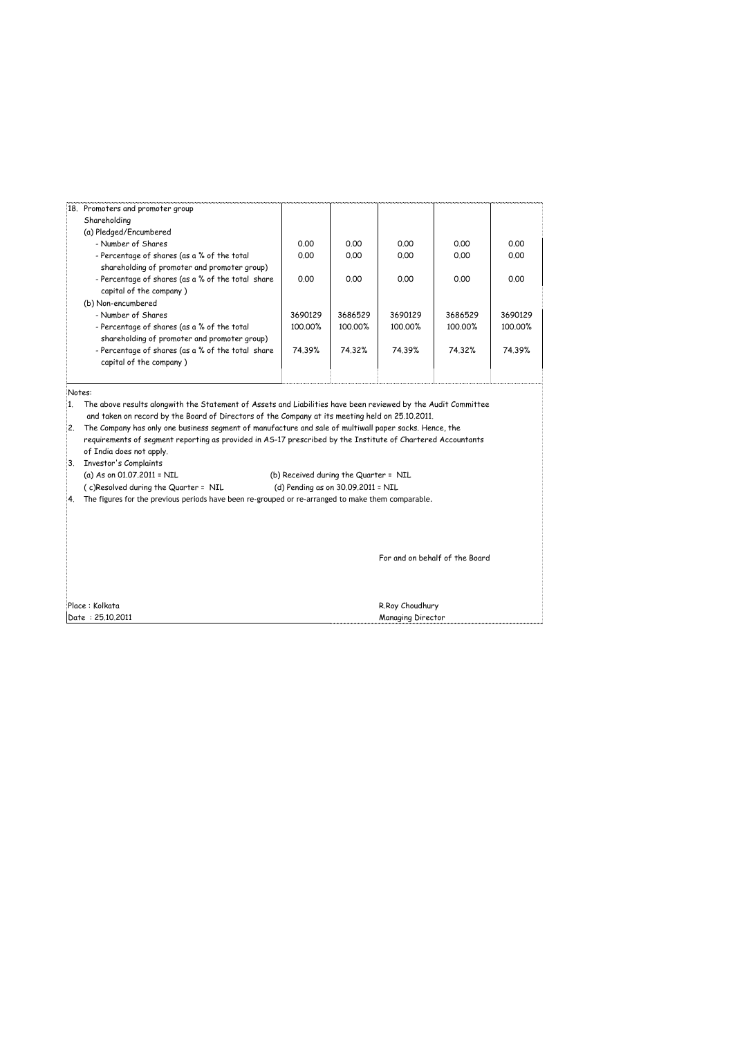|  | 18. Promoters and promoter group                                                            |         |         |         |         |         |
|--|---------------------------------------------------------------------------------------------|---------|---------|---------|---------|---------|
|  | Shareholding                                                                                |         |         |         |         |         |
|  | (a) Pledged/Encumbered                                                                      |         |         |         |         |         |
|  | - Number of Shares                                                                          | 0.00    | 0.00    | 0.00    | 0.00    | 0.00    |
|  | - Percentage of shares (as a % of the total<br>shareholding of promoter and promoter group) | 0.00    | 0.00    | 0.00    | 0.00    | 0.00    |
|  | - Percentage of shares (as a % of the total share<br>capital of the company)                | 0.00    | 0.00    | 0.00    | 0.00    | 0.00    |
|  | (b) Non-encumbered                                                                          |         |         |         |         |         |
|  | - Number of Shares                                                                          | 3690129 | 3686529 | 3690129 | 3686529 | 3690129 |
|  | - Percentage of shares (as a % of the total<br>shareholding of promoter and promoter group) | 100.00% | 100.00% | 100.00% | 100.00% | 100.00% |
|  | - Percentage of shares (as a % of the total share<br>capital of the company)                | 74.39%  | 74.32%  | 74.39%  | 74.32%  | 74.39%  |
|  |                                                                                             |         |         |         |         |         |

Notes:

1. The above results alongwith the Statement of Assets and Liabilities have been reviewed by the Audit Committee

and taken on record by the Board of Directors of the Company at its meeting held on 25.10.2011.

| 2. The Company has only one business segment of manufacture and sale of multiwall paper sacks. Hence, the   |
|-------------------------------------------------------------------------------------------------------------|
| requirements of segment reporting as provided in AS-17 prescribed by the Institute of Chartered Accountants |
| of India does not apply.                                                                                    |
| Trucator's Complaints                                                                                       |

Investor's Complaints<br>(a) As on 01.07.2011 = NIL

(b) Received during the Quarter = NIL

( c)Resolved during the Quarter = NIL (d) Pending as on 30.09.2011 = NIL

4. The figures for the previous periods have been re-grouped or re-arranged to make them comparable.

For and on behalf of the Board

Place : Kolkata R.Roy Choudhury (1999)<br>1991 - Place : 25.10.2011 - Place State R.Roy Choudhury (1999)<br>2008 - Managing Director (1999)

Managing Director